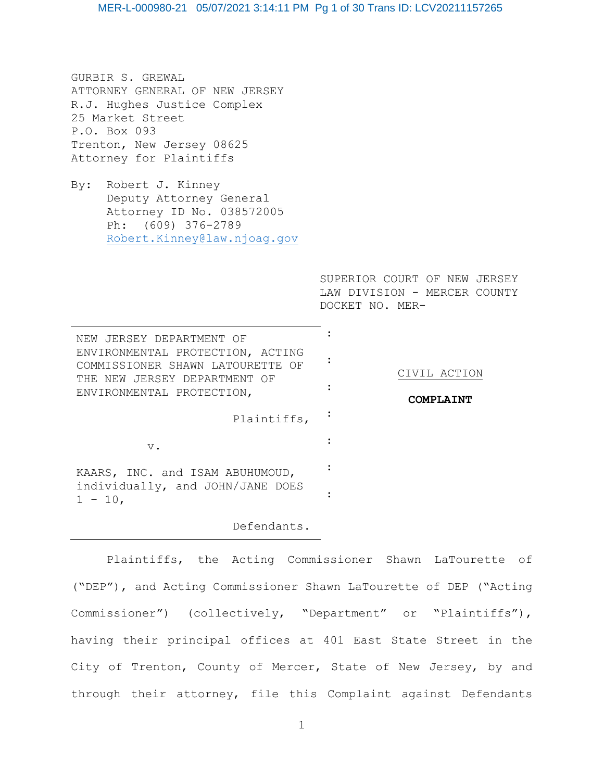GURBIR S. GREWAL ATTORNEY GENERAL OF NEW JERSEY R.J. Hughes Justice Complex 25 Market Street P.O. Box 093 Trenton, New Jersey 08625 Attorney for Plaintiffs

By: Robert J. Kinney Deputy Attorney General Attorney ID No. 038572005 Ph: (609) 376-2789 [Robert.Kinney@law.njoag.gov](mailto:Robert.Kinney@law.njoag.gov)

> SUPERIOR COURT OF NEW JERSEY LAW DIVISION - MERCER COUNTY DOCKET NO. MER-

| NEW JERSEY DEPARTMENT OF<br>ENVIRONMENTAL PROTECTION, ACTING<br>COMMISSIONER SHAWN LATOURETTE OF<br>THE NEW JERSEY DEPARTMENT OF<br>ENVIRONMENTAL PROTECTION, | CIVIL ACTION<br>COMPT.ATNT |
|---------------------------------------------------------------------------------------------------------------------------------------------------------------|----------------------------|
| Plaintiffs,                                                                                                                                                   |                            |
| $V$ .                                                                                                                                                         |                            |
| KAARS, INC. and ISAM ABUHUMOUD,<br>individually, and JOHN/JANE DOES<br>$-10.$                                                                                 |                            |
|                                                                                                                                                               |                            |

# Defendants.

Plaintiffs, the Acting Commissioner Shawn LaTourette of ("DEP"), and Acting Commissioner Shawn LaTourette of DEP ("Acting Commissioner") (collectively, "Department" or "Plaintiffs"), having their principal offices at 401 East State Street in the City of Trenton, County of Mercer, State of New Jersey, by and through their attorney, file this Complaint against Defendants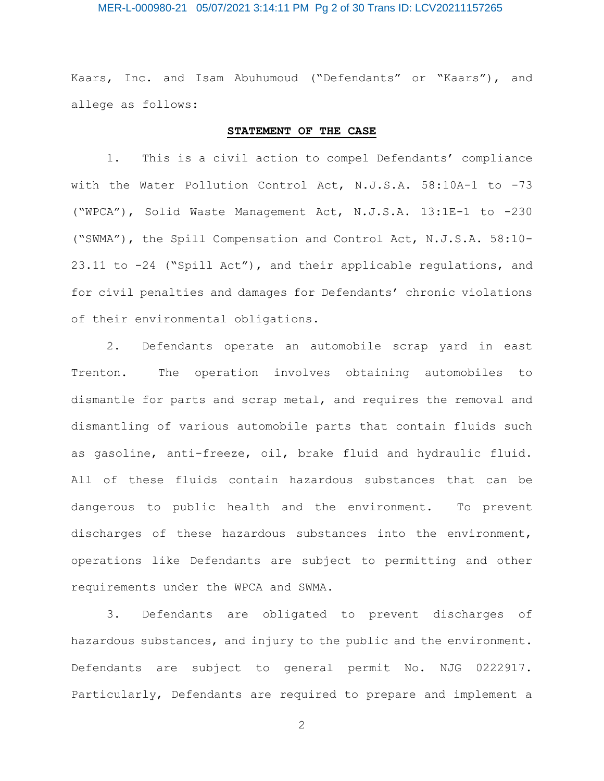# MER-L-000980-21 05/07/2021 3:14:11 PM Pg 2 of 30 Trans ID: LCV20211157265

Kaars, Inc. and Isam Abuhumoud ("Defendants" or "Kaars"), and allege as follows:

# **STATEMENT OF THE CASE**

1. This is a civil action to compel Defendants' compliance with the Water Pollution Control Act, N.J.S.A. 58:10A-1 to -73 ("WPCA"), Solid Waste Management Act, N.J.S.A. 13:1E-1 to -230 ("SWMA"), the Spill Compensation and Control Act, N.J.S.A. 58:10- 23.11 to -24 ("Spill Act"), and their applicable regulations, and for civil penalties and damages for Defendants' chronic violations of their environmental obligations.

2. Defendants operate an automobile scrap yard in east Trenton. The operation involves obtaining automobiles to dismantle for parts and scrap metal, and requires the removal and dismantling of various automobile parts that contain fluids such as gasoline, anti-freeze, oil, brake fluid and hydraulic fluid. All of these fluids contain hazardous substances that can be dangerous to public health and the environment. To prevent discharges of these hazardous substances into the environment, operations like Defendants are subject to permitting and other requirements under the WPCA and SWMA.

3. Defendants are obligated to prevent discharges of hazardous substances, and injury to the public and the environment. Defendants are subject to general permit No. NJG 0222917. Particularly, Defendants are required to prepare and implement a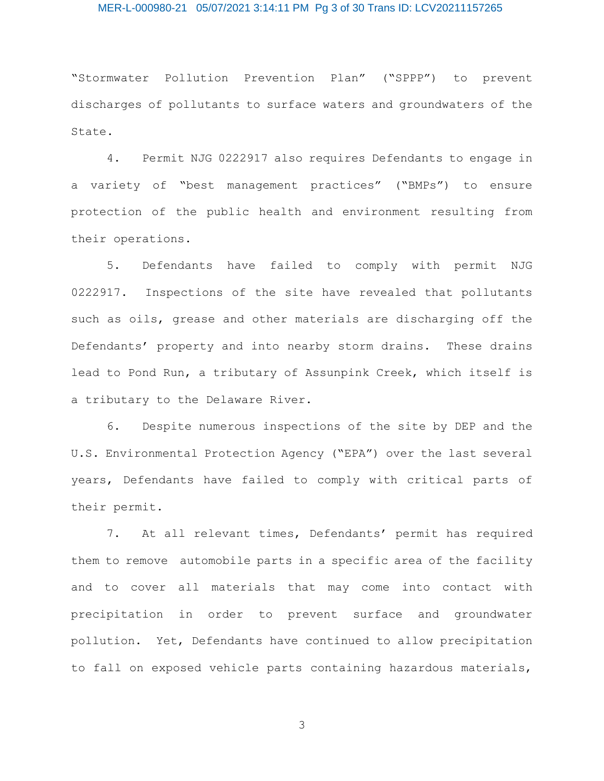# MER-L-000980-21 05/07/2021 3:14:11 PM Pg 3 of 30 Trans ID: LCV20211157265

"Stormwater Pollution Prevention Plan" ("SPPP") to prevent discharges of pollutants to surface waters and groundwaters of the State.

4. Permit NJG 0222917 also requires Defendants to engage in a variety of "best management practices" ("BMPs") to ensure protection of the public health and environment resulting from their operations.

5. Defendants have failed to comply with permit NJG 0222917. Inspections of the site have revealed that pollutants such as oils, grease and other materials are discharging off the Defendants' property and into nearby storm drains. These drains lead to Pond Run, a tributary of Assunpink Creek, which itself is a tributary to the Delaware River.

6. Despite numerous inspections of the site by DEP and the U.S. Environmental Protection Agency ("EPA") over the last several years, Defendants have failed to comply with critical parts of their permit.

7. At all relevant times, Defendants' permit has required them to remove automobile parts in a specific area of the facility and to cover all materials that may come into contact with precipitation in order to prevent surface and groundwater pollution. Yet, Defendants have continued to allow precipitation to fall on exposed vehicle parts containing hazardous materials,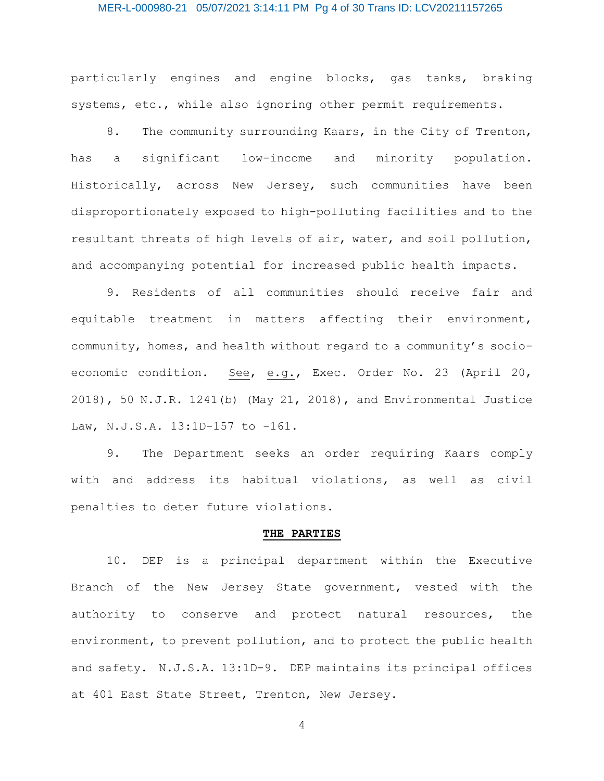#### MER-L-000980-21 05/07/2021 3:14:11 PM Pg 4 of 30 Trans ID: LCV20211157265

particularly engines and engine blocks, gas tanks, braking systems, etc., while also ignoring other permit requirements.

8. The community surrounding Kaars, in the City of Trenton, has a significant low-income and minority population. Historically, across New Jersey, such communities have been disproportionately exposed to high-polluting facilities and to the resultant threats of high levels of air, water, and soil pollution, and accompanying potential for increased public health impacts.

9. Residents of all communities should receive fair and equitable treatment in matters affecting their environment, community, homes, and health without regard to a community's socioeconomic condition. See, e.g., Exec. Order No. 23 (April 20, 2018), 50 N.J.R. 1241(b) (May 21, 2018), and Environmental Justice Law, N.J.S.A. 13:1D-157 to -161.

9. The Department seeks an order requiring Kaars comply with and address its habitual violations, as well as civil penalties to deter future violations.

#### **THE PARTIES**

10. DEP is a principal department within the Executive Branch of the New Jersey State government, vested with the authority to conserve and protect natural resources, the environment, to prevent pollution, and to protect the public health and safety. N.J.S.A. 13:1D-9. DEP maintains its principal offices at 401 East State Street, Trenton, New Jersey.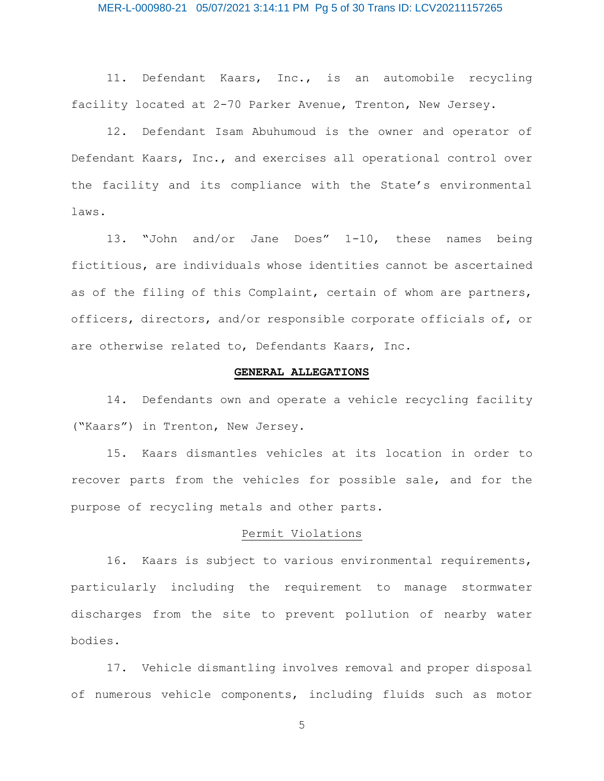# MER-L-000980-21 05/07/2021 3:14:11 PM Pg 5 of 30 Trans ID: LCV20211157265

11. Defendant Kaars, Inc., is an automobile recycling facility located at 2-70 Parker Avenue, Trenton, New Jersey.

12. Defendant Isam Abuhumoud is the owner and operator of Defendant Kaars, Inc., and exercises all operational control over the facility and its compliance with the State's environmental laws.

13. "John and/or Jane Does" 1-10, these names being fictitious, are individuals whose identities cannot be ascertained as of the filing of this Complaint, certain of whom are partners, officers, directors, and/or responsible corporate officials of, or are otherwise related to, Defendants Kaars, Inc.

## **GENERAL ALLEGATIONS**

14. Defendants own and operate a vehicle recycling facility ("Kaars") in Trenton, New Jersey.

15. Kaars dismantles vehicles at its location in order to recover parts from the vehicles for possible sale, and for the purpose of recycling metals and other parts.

### Permit Violations

16. Kaars is subject to various environmental requirements, particularly including the requirement to manage stormwater discharges from the site to prevent pollution of nearby water bodies.

17. Vehicle dismantling involves removal and proper disposal of numerous vehicle components, including fluids such as motor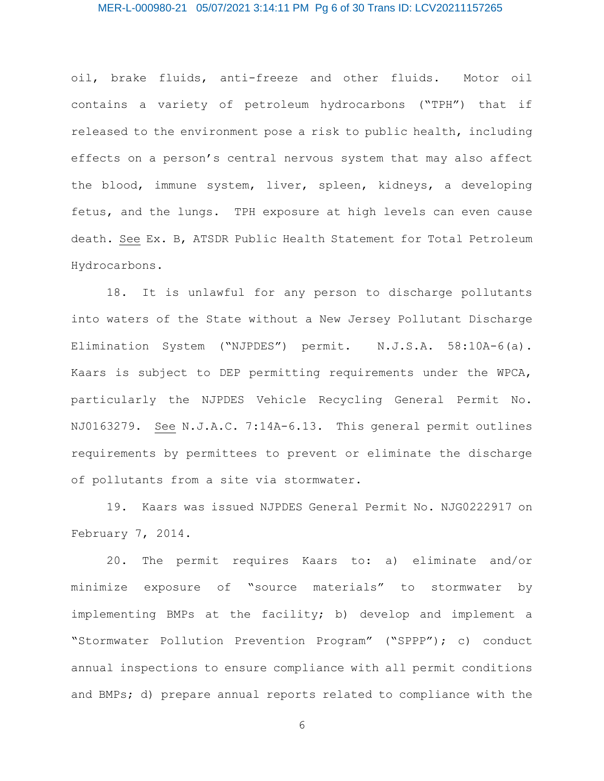# MER-L-000980-21 05/07/2021 3:14:11 PM Pg 6 of 30 Trans ID: LCV20211157265

oil, brake fluids, anti-freeze and other fluids. Motor oil contains a variety of petroleum hydrocarbons ("TPH") that if released to the environment pose a risk to public health, including effects on a person's central nervous system that may also affect the blood, immune system, liver, spleen, kidneys, a developing fetus, and the lungs. TPH exposure at high levels can even cause death. See Ex. B, ATSDR Public Health Statement for Total Petroleum Hydrocarbons.

18. It is unlawful for any person to discharge pollutants into waters of the State without a New Jersey Pollutant Discharge Elimination System ("NJPDES") permit. N.J.S.A. 58:10A-6(a). Kaars is subject to DEP permitting requirements under the WPCA, particularly the NJPDES Vehicle Recycling General Permit No. NJ0163279. See N.J.A.C. 7:14A-6.13. This general permit outlines requirements by permittees to prevent or eliminate the discharge of pollutants from a site via stormwater.

19. Kaars was issued NJPDES General Permit No. NJG0222917 on February 7, 2014.

20. The permit requires Kaars to: a) eliminate and/or minimize exposure of "source materials" to stormwater by implementing BMPs at the facility; b) develop and implement a "Stormwater Pollution Prevention Program" ("SPPP"); c) conduct annual inspections to ensure compliance with all permit conditions and BMPs; d) prepare annual reports related to compliance with the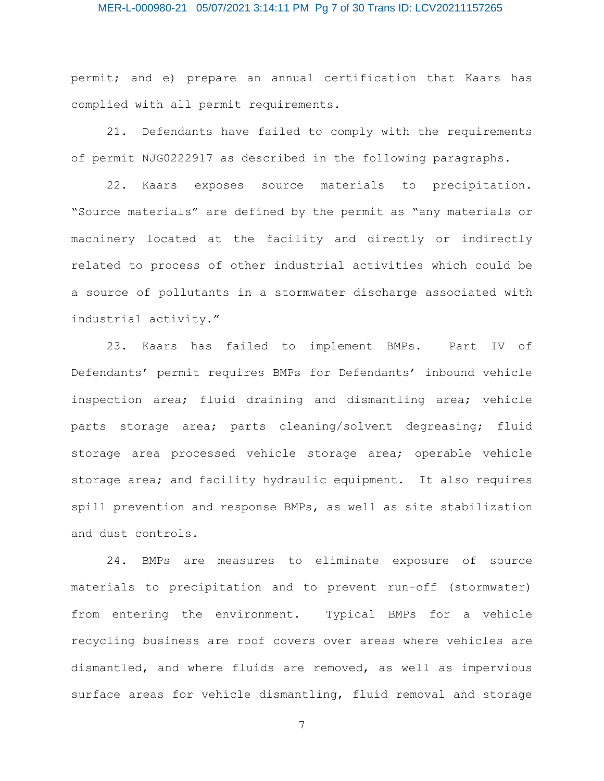# MER-L-000980-21 05/07/2021 3:14:11 PM Pg 7 of 30 Trans ID: LCV20211157265

permit; and e) prepare an annual certification that Kaars has complied with all permit requirements.

21. Defendants have failed to comply with the requirements of permit NJG0222917 as described in the following paragraphs.

22. Kaars exposes source materials to precipitation. "Source materials" are defined by the permit as "any materials or machinery located at the facility and directly or indirectly related to process of other industrial activities which could be a source of pollutants in a stormwater discharge associated with industrial activity."

23. Kaars has failed to implement BMPs. Part IV of Defendants' permit requires BMPs for Defendants' inbound vehicle inspection area; fluid draining and dismantling area; vehicle parts storage area; parts cleaning/solvent degreasing; fluid storage area processed vehicle storage area; operable vehicle storage area; and facility hydraulic equipment. It also requires spill prevention and response BMPs, as well as site stabilization and dust controls.

24. BMPs are measures to eliminate exposure of source materials to precipitation and to prevent run-off (stormwater) from entering the environment. Typical BMPs for a vehicle recycling business are roof covers over areas where vehicles are dismantled, and where fluids are removed, as well as impervious surface areas for vehicle dismantling, fluid removal and storage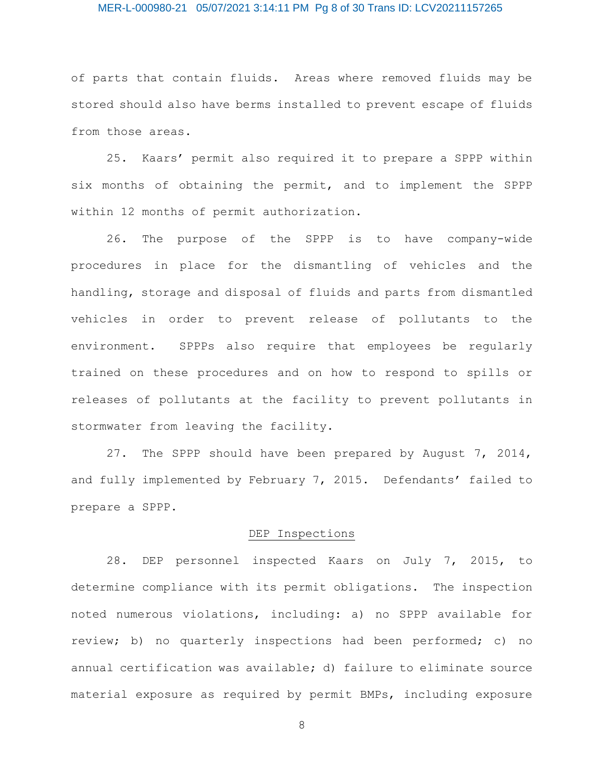# MER-L-000980-21 05/07/2021 3:14:11 PM Pg 8 of 30 Trans ID: LCV20211157265

of parts that contain fluids. Areas where removed fluids may be stored should also have berms installed to prevent escape of fluids from those areas.

25. Kaars' permit also required it to prepare a SPPP within six months of obtaining the permit, and to implement the SPPP within 12 months of permit authorization.

26. The purpose of the SPPP is to have company-wide procedures in place for the dismantling of vehicles and the handling, storage and disposal of fluids and parts from dismantled vehicles in order to prevent release of pollutants to the environment. SPPPs also require that employees be regularly trained on these procedures and on how to respond to spills or releases of pollutants at the facility to prevent pollutants in stormwater from leaving the facility.

27. The SPPP should have been prepared by August 7, 2014, and fully implemented by February 7, 2015. Defendants' failed to prepare a SPPP.

# DEP Inspections

28. DEP personnel inspected Kaars on July 7, 2015, to determine compliance with its permit obligations. The inspection noted numerous violations, including: a) no SPPP available for review; b) no quarterly inspections had been performed; c) no annual certification was available; d) failure to eliminate source material exposure as required by permit BMPs, including exposure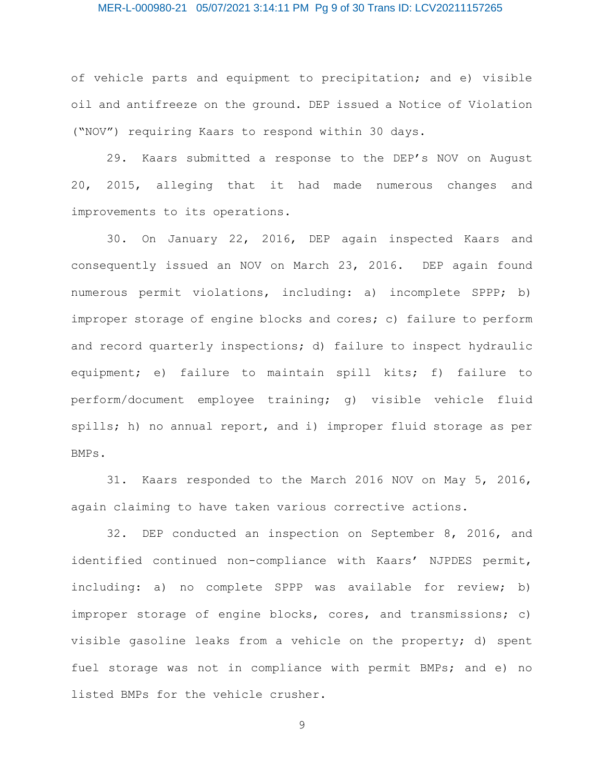# MER-L-000980-21 05/07/2021 3:14:11 PM Pg 9 of 30 Trans ID: LCV20211157265

of vehicle parts and equipment to precipitation; and e) visible oil and antifreeze on the ground. DEP issued a Notice of Violation ("NOV") requiring Kaars to respond within 30 days.

29. Kaars submitted a response to the DEP's NOV on August 20, 2015, alleging that it had made numerous changes and improvements to its operations.

30. On January 22, 2016, DEP again inspected Kaars and consequently issued an NOV on March 23, 2016. DEP again found numerous permit violations, including: a) incomplete SPPP; b) improper storage of engine blocks and cores; c) failure to perform and record quarterly inspections; d) failure to inspect hydraulic equipment; e) failure to maintain spill kits; f) failure to perform/document employee training; g) visible vehicle fluid spills; h) no annual report, and i) improper fluid storage as per BMPs.

31. Kaars responded to the March 2016 NOV on May 5, 2016, again claiming to have taken various corrective actions.

32. DEP conducted an inspection on September 8, 2016, and identified continued non-compliance with Kaars' NJPDES permit, including: a) no complete SPPP was available for review; b) improper storage of engine blocks, cores, and transmissions; c) visible gasoline leaks from a vehicle on the property; d) spent fuel storage was not in compliance with permit BMPs; and e) no listed BMPs for the vehicle crusher.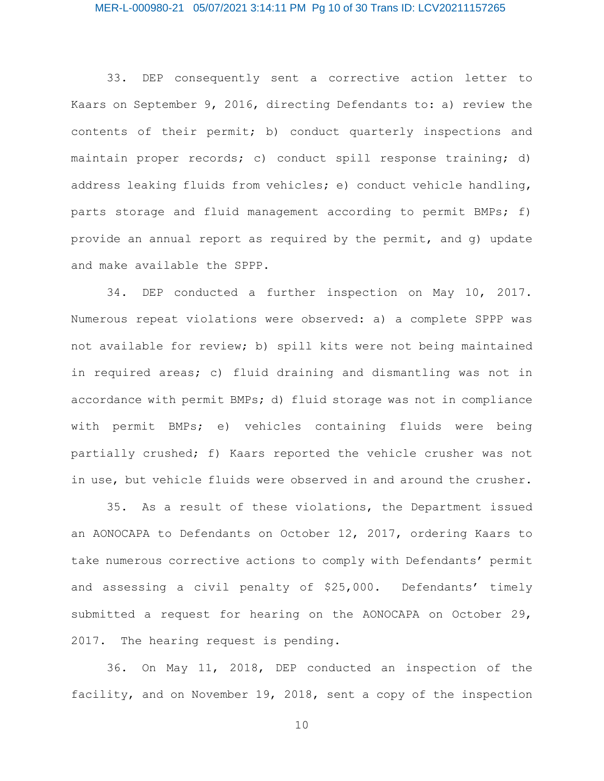# MER-L-000980-21 05/07/2021 3:14:11 PM Pg 10 of 30 Trans ID: LCV20211157265

33. DEP consequently sent a corrective action letter to Kaars on September 9, 2016, directing Defendants to: a) review the contents of their permit; b) conduct quarterly inspections and maintain proper records; c) conduct spill response training; d) address leaking fluids from vehicles; e) conduct vehicle handling, parts storage and fluid management according to permit BMPs; f) provide an annual report as required by the permit, and g) update and make available the SPPP.

34. DEP conducted a further inspection on May 10, 2017. Numerous repeat violations were observed: a) a complete SPPP was not available for review; b) spill kits were not being maintained in required areas; c) fluid draining and dismantling was not in accordance with permit BMPs; d) fluid storage was not in compliance with permit BMPs; e) vehicles containing fluids were being partially crushed; f) Kaars reported the vehicle crusher was not in use, but vehicle fluids were observed in and around the crusher.

35. As a result of these violations, the Department issued an AONOCAPA to Defendants on October 12, 2017, ordering Kaars to take numerous corrective actions to comply with Defendants' permit and assessing a civil penalty of \$25,000. Defendants' timely submitted a request for hearing on the AONOCAPA on October 29, 2017. The hearing request is pending.

36. On May 11, 2018, DEP conducted an inspection of the facility, and on November 19, 2018, sent a copy of the inspection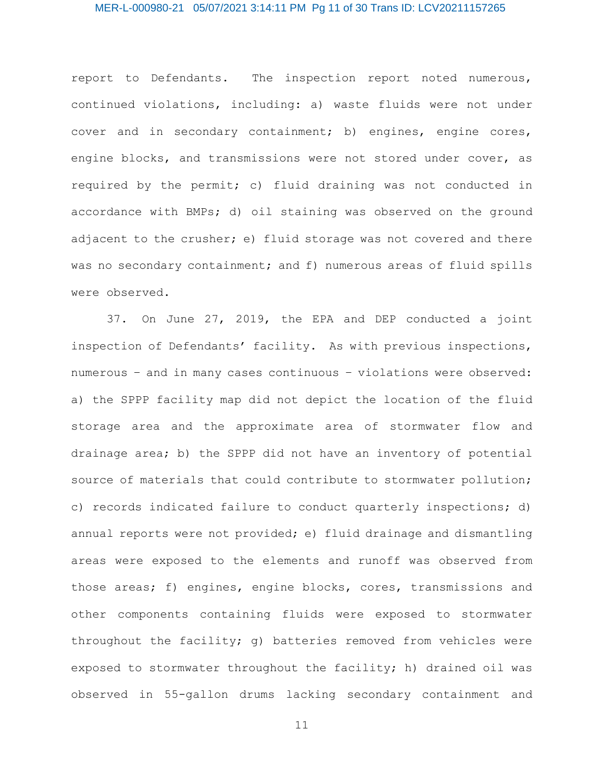# MER-L-000980-21 05/07/2021 3:14:11 PM Pg 11 of 30 Trans ID: LCV20211157265

report to Defendants. The inspection report noted numerous, continued violations, including: a) waste fluids were not under cover and in secondary containment; b) engines, engine cores, engine blocks, and transmissions were not stored under cover, as required by the permit; c) fluid draining was not conducted in accordance with BMPs; d) oil staining was observed on the ground adjacent to the crusher; e) fluid storage was not covered and there was no secondary containment; and f) numerous areas of fluid spills were observed.

37. On June 27, 2019, the EPA and DEP conducted a joint inspection of Defendants' facility. As with previous inspections, numerous – and in many cases continuous – violations were observed: a) the SPPP facility map did not depict the location of the fluid storage area and the approximate area of stormwater flow and drainage area; b) the SPPP did not have an inventory of potential source of materials that could contribute to stormwater pollution; c) records indicated failure to conduct quarterly inspections; d) annual reports were not provided; e) fluid drainage and dismantling areas were exposed to the elements and runoff was observed from those areas; f) engines, engine blocks, cores, transmissions and other components containing fluids were exposed to stormwater throughout the facility; g) batteries removed from vehicles were exposed to stormwater throughout the facility; h) drained oil was observed in 55-gallon drums lacking secondary containment and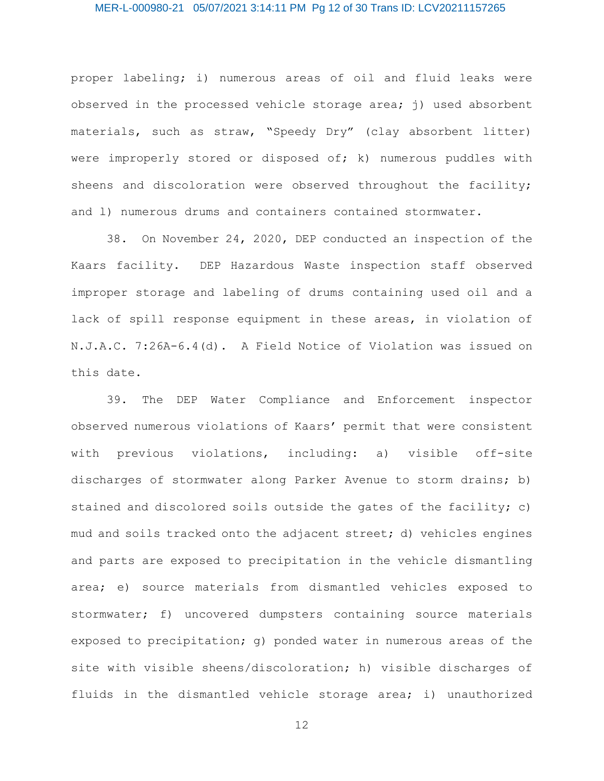# MER-L-000980-21 05/07/2021 3:14:11 PM Pg 12 of 30 Trans ID: LCV20211157265

proper labeling; i) numerous areas of oil and fluid leaks were observed in the processed vehicle storage area;  $j$ ) used absorbent materials, such as straw, "Speedy Dry" (clay absorbent litter) were improperly stored or disposed of; k) numerous puddles with sheens and discoloration were observed throughout the facility; and 1) numerous drums and containers contained stormwater.

38. On November 24, 2020, DEP conducted an inspection of the Kaars facility. DEP Hazardous Waste inspection staff observed improper storage and labeling of drums containing used oil and a lack of spill response equipment in these areas, in violation of N.J.A.C. 7:26A-6.4(d). A Field Notice of Violation was issued on this date.

39. The DEP Water Compliance and Enforcement inspector observed numerous violations of Kaars' permit that were consistent with previous violations, including: a) visible off-site discharges of stormwater along Parker Avenue to storm drains; b) stained and discolored soils outside the gates of the facility; c) mud and soils tracked onto the adjacent street; d) vehicles engines and parts are exposed to precipitation in the vehicle dismantling area; e) source materials from dismantled vehicles exposed to stormwater; f) uncovered dumpsters containing source materials exposed to precipitation; g) ponded water in numerous areas of the site with visible sheens/discoloration; h) visible discharges of fluids in the dismantled vehicle storage area; i) unauthorized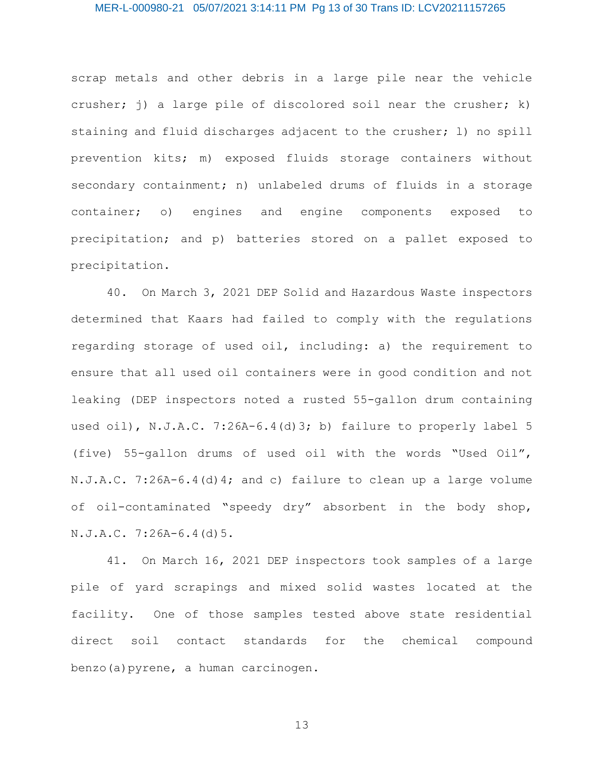#### MER-L-000980-21 05/07/2021 3:14:11 PM Pg 13 of 30 Trans ID: LCV20211157265

scrap metals and other debris in a large pile near the vehicle crusher; j) a large pile of discolored soil near the crusher; k) staining and fluid discharges adjacent to the crusher; l) no spill prevention kits; m) exposed fluids storage containers without secondary containment; n) unlabeled drums of fluids in a storage container; o) engines and engine components exposed to precipitation; and p) batteries stored on a pallet exposed to precipitation.

40. On March 3, 2021 DEP Solid and Hazardous Waste inspectors determined that Kaars had failed to comply with the regulations regarding storage of used oil, including: a) the requirement to ensure that all used oil containers were in good condition and not leaking (DEP inspectors noted a rusted 55-gallon drum containing used oil), N.J.A.C. 7:26A-6.4(d)3; b) failure to properly label 5 (five) 55-gallon drums of used oil with the words "Used Oil", N.J.A.C. 7:26A-6.4(d)4; and c) failure to clean up a large volume of oil-contaminated "speedy dry" absorbent in the body shop, N.J.A.C. 7:26A-6.4(d)5.

41. On March 16, 2021 DEP inspectors took samples of a large pile of yard scrapings and mixed solid wastes located at the facility. One of those samples tested above state residential direct soil contact standards for the chemical compound benzo(a)pyrene, a human carcinogen.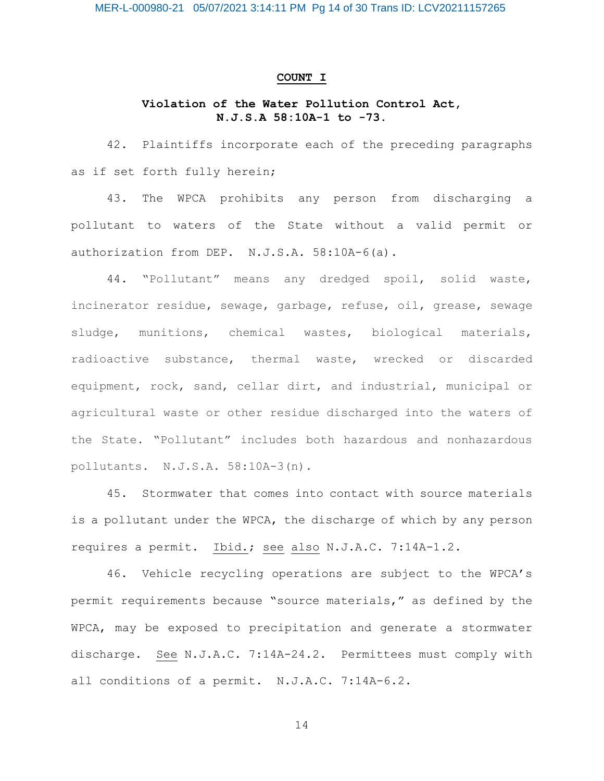#### **COUNT I**

# **Violation of the Water Pollution Control Act, N.J.S.A 58:10A-1 to -73.**

42. Plaintiffs incorporate each of the preceding paragraphs as if set forth fully herein;

43. The WPCA prohibits any person from discharging a pollutant to waters of the State without a valid permit or authorization from DEP. N.J.S.A. 58:10A-6(a).

44. "Pollutant" means any dredged spoil, solid waste, incinerator residue, sewage, garbage, refuse, oil, grease, sewage sludge, munitions, chemical wastes, biological materials, radioactive substance, thermal waste, wrecked or discarded equipment, rock, sand, cellar dirt, and industrial, municipal or agricultural waste or other residue discharged into the waters of the State. "Pollutant" includes both hazardous and nonhazardous pollutants. N.J.S.A. 58:10A-3(n).

45. Stormwater that comes into contact with source materials is a pollutant under the WPCA, the discharge of which by any person requires a permit. Ibid.; see also N.J.A.C. 7:14A-1.2.

46. Vehicle recycling operations are subject to the WPCA's permit requirements because "source materials," as defined by the WPCA, may be exposed to precipitation and generate a stormwater discharge. See N.J.A.C. 7:14A-24.2. Permittees must comply with all conditions of a permit. N.J.A.C. 7:14A-6.2.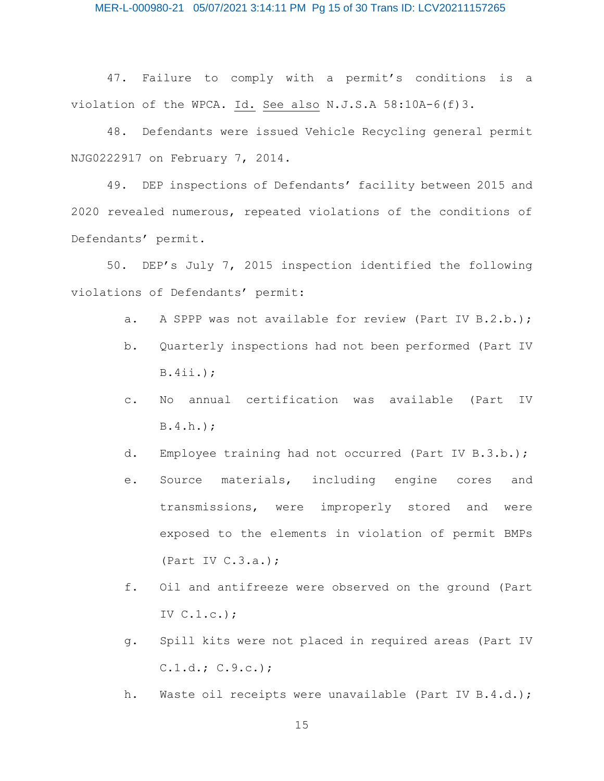47. Failure to comply with a permit's conditions is a violation of the WPCA. Id. See also N.J.S.A 58:10A-6(f)3.

48. Defendants were issued Vehicle Recycling general permit NJG0222917 on February 7, 2014.

49. DEP inspections of Defendants' facility between 2015 and 2020 revealed numerous, repeated violations of the conditions of Defendants' permit.

50. DEP's July 7, 2015 inspection identified the following violations of Defendants' permit:

- a. A SPPP was not available for review (Part IV B.2.b.);
- b. Quarterly inspections had not been performed (Part IV B.4ii.);
- c. No annual certification was available (Part IV B.4.h.);
- d. Employee training had not occurred (Part IV B.3.b.);
- e. Source materials, including engine cores and transmissions, were improperly stored and were exposed to the elements in violation of permit BMPs (Part IV  $C.3.a.)$ ;
- f. Oil and antifreeze were observed on the ground (Part IV C.1.c.);
- g. Spill kits were not placed in required areas (Part IV  $C.1.d.; C.9.c.);$
- h. Waste oil receipts were unavailable (Part IV B.4.d.);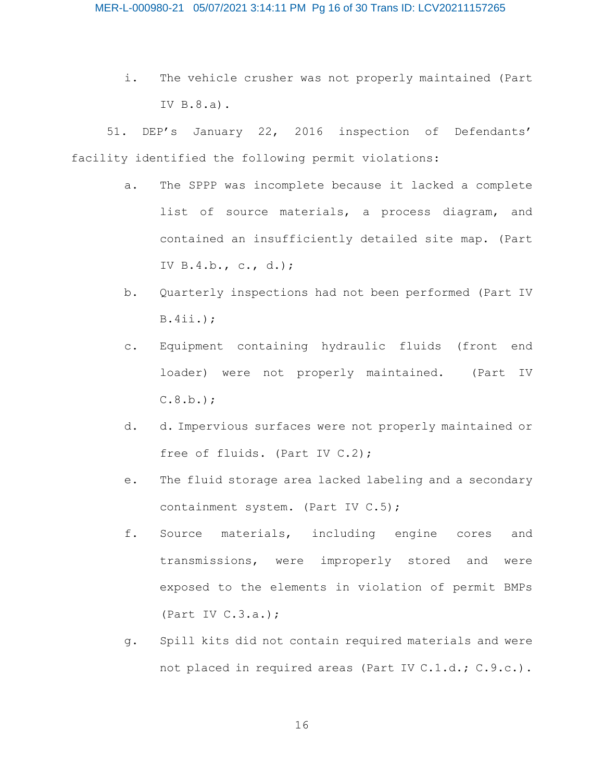i. The vehicle crusher was not properly maintained (Part IV B.8.a).

51. DEP's January 22, 2016 inspection of Defendants' facility identified the following permit violations:

- a. The SPPP was incomplete because it lacked a complete list of source materials, a process diagram, and contained an insufficiently detailed site map. (Part IV B.4.b., c., d.);
- b. Quarterly inspections had not been performed (Part IV B.4ii.);
- c. Equipment containing hydraulic fluids (front end loader) were not properly maintained. (Part IV  $C.8.b.$ ;
- d. d. Impervious surfaces were not properly maintained or free of fluids. (Part IV C.2);
- e. The fluid storage area lacked labeling and a secondary containment system. (Part IV C.5);
- f. Source materials, including engine cores and transmissions, were improperly stored and were exposed to the elements in violation of permit BMPs (Part IV  $C.3.a.)$ ;
- g. Spill kits did not contain required materials and were not placed in required areas (Part IV C.1.d.; C.9.c.).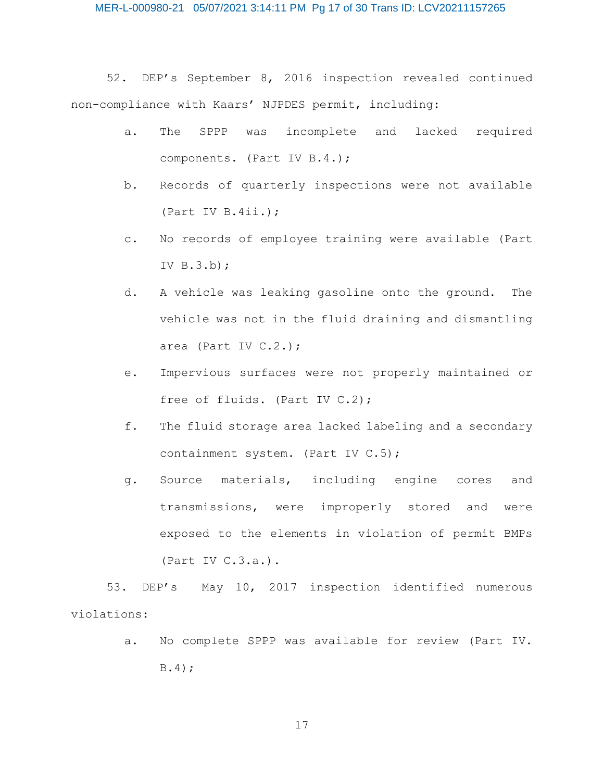52. DEP's September 8, 2016 inspection revealed continued non-compliance with Kaars' NJPDES permit, including:

- a. The SPPP was incomplete and lacked required components. (Part IV B.4.);
- b. Records of quarterly inspections were not available (Part IV B.4ii.);
- c. No records of employee training were available (Part IV B.3.b);
- d. A vehicle was leaking gasoline onto the ground. The vehicle was not in the fluid draining and dismantling area (Part IV C.2.);
- e. Impervious surfaces were not properly maintained or free of fluids. (Part IV C.2);
- f. The fluid storage area lacked labeling and a secondary containment system. (Part IV C.5);
- g. Source materials, including engine cores and transmissions, were improperly stored and were exposed to the elements in violation of permit BMPs (Part IV C.3.a.).

53. DEP's May 10, 2017 inspection identified numerous violations:

> a. No complete SPPP was available for review (Part IV. B.4);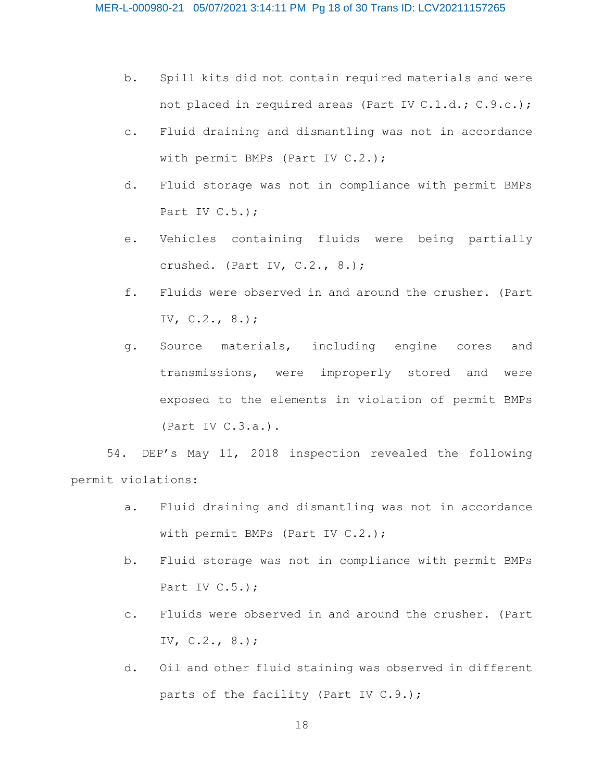- b. Spill kits did not contain required materials and were not placed in required areas (Part IV C.1.d.; C.9.c.);
- c. Fluid draining and dismantling was not in accordance with permit BMPs (Part IV C.2.);
- d. Fluid storage was not in compliance with permit BMPs Part IV C.5.);
- e. Vehicles containing fluids were being partially crushed. (Part IV, C.2., 8.);
- f. Fluids were observed in and around the crusher. (Part IV, C.2., 8.);
- g. Source materials, including engine cores and transmissions, were improperly stored and were exposed to the elements in violation of permit BMPs (Part IV C.3.a.).

54. DEP's May 11, 2018 inspection revealed the following permit violations:

- a. Fluid draining and dismantling was not in accordance with permit BMPs (Part IV C.2.);
- b. Fluid storage was not in compliance with permit BMPs Part IV C.5.);
- c. Fluids were observed in and around the crusher. (Part IV,  $C.2.$ ,  $8.$ );
- d. Oil and other fluid staining was observed in different parts of the facility (Part IV C.9.);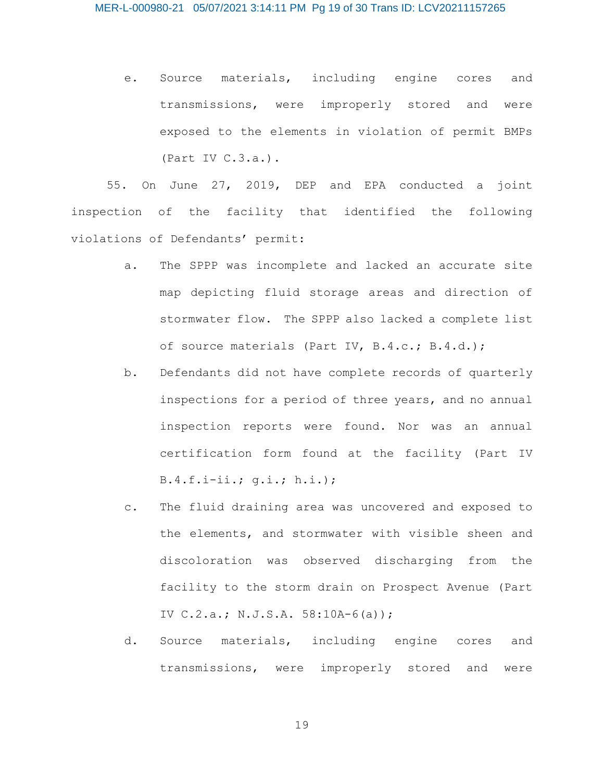e. Source materials, including engine cores and transmissions, were improperly stored and were exposed to the elements in violation of permit BMPs (Part IV C.3.a.).

55. On June 27, 2019, DEP and EPA conducted a joint inspection of the facility that identified the following violations of Defendants' permit:

- a. The SPPP was incomplete and lacked an accurate site map depicting fluid storage areas and direction of stormwater flow. The SPPP also lacked a complete list of source materials (Part IV, B.4.c.; B.4.d.);
- b. Defendants did not have complete records of quarterly inspections for a period of three years, and no annual inspection reports were found. Nor was an annual certification form found at the facility (Part IV B.4.f.i-ii.; g.i.; h.i.);
- c. The fluid draining area was uncovered and exposed to the elements, and stormwater with visible sheen and discoloration was observed discharging from the facility to the storm drain on Prospect Avenue (Part IV C.2.a.; N.J.S.A. 58:10A-6(a));
- d. Source materials, including engine cores and transmissions, were improperly stored and were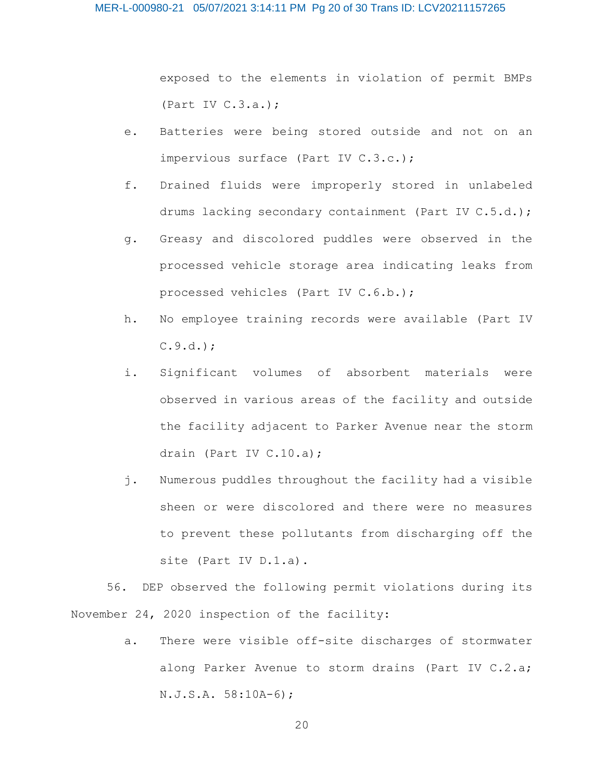exposed to the elements in violation of permit BMPs (Part IV C.3.a.);

- e. Batteries were being stored outside and not on an impervious surface (Part IV C.3.c.);
- f. Drained fluids were improperly stored in unlabeled drums lacking secondary containment (Part IV C.5.d.);
- g. Greasy and discolored puddles were observed in the processed vehicle storage area indicating leaks from processed vehicles (Part IV C.6.b.);
- h. No employee training records were available (Part IV  $C.9.d.$
- i. Significant volumes of absorbent materials were observed in various areas of the facility and outside the facility adjacent to Parker Avenue near the storm drain (Part IV C.10.a);
- j. Numerous puddles throughout the facility had a visible sheen or were discolored and there were no measures to prevent these pollutants from discharging off the site (Part IV D.1.a).

56. DEP observed the following permit violations during its November 24, 2020 inspection of the facility:

> a. There were visible off-site discharges of stormwater along Parker Avenue to storm drains (Part IV C.2.a; N.J.S.A. 58:10A-6);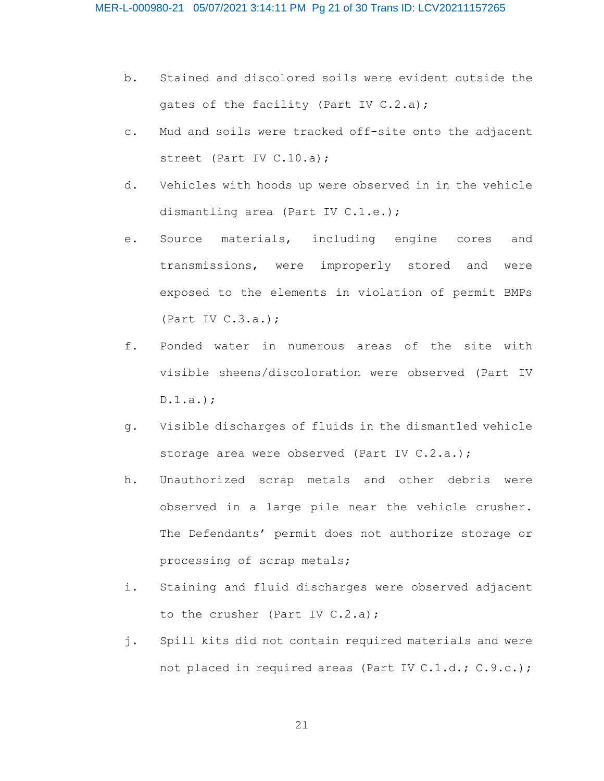- b. Stained and discolored soils were evident outside the gates of the facility (Part IV C.2.a);
- c. Mud and soils were tracked off-site onto the adjacent street (Part IV C.10.a);
- d. Vehicles with hoods up were observed in in the vehicle dismantling area (Part IV C.1.e.);
- e. Source materials, including engine cores and transmissions, were improperly stored and were exposed to the elements in violation of permit BMPs (Part IV C.3.a.);
- f. Ponded water in numerous areas of the site with visible sheens/discoloration were observed (Part IV D.1.a.);
- g. Visible discharges of fluids in the dismantled vehicle storage area were observed (Part IV C.2.a.);
- h. Unauthorized scrap metals and other debris were observed in a large pile near the vehicle crusher. The Defendants' permit does not authorize storage or processing of scrap metals;
- i. Staining and fluid discharges were observed adjacent to the crusher (Part IV C.2.a);
- j. Spill kits did not contain required materials and were not placed in required areas (Part IV C.1.d.; C.9.c.);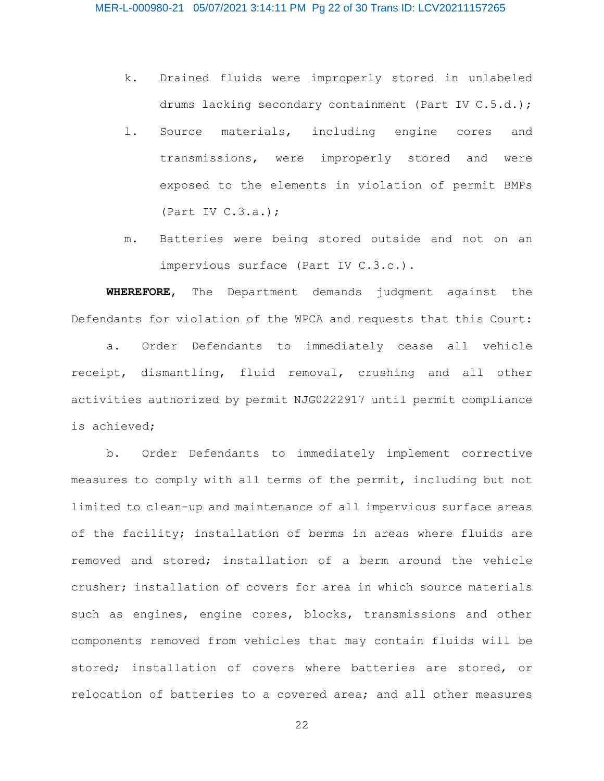- k. Drained fluids were improperly stored in unlabeled drums lacking secondary containment (Part IV C.5.d.);
- l. Source materials, including engine cores and transmissions, were improperly stored and were exposed to the elements in violation of permit BMPs (Part IV C.3.a.);
- m. Batteries were being stored outside and not on an impervious surface (Part IV C.3.c.).

**WHEREFORE**, The Department demands judgment against the Defendants for violation of the WPCA and requests that this Court:

a. Order Defendants to immediately cease all vehicle receipt, dismantling, fluid removal, crushing and all other activities authorized by permit NJG0222917 until permit compliance is achieved;

b. Order Defendants to immediately implement corrective measures to comply with all terms of the permit, including but not limited to clean-up and maintenance of all impervious surface areas of the facility; installation of berms in areas where fluids are removed and stored; installation of a berm around the vehicle crusher; installation of covers for area in which source materials such as engines, engine cores, blocks, transmissions and other components removed from vehicles that may contain fluids will be stored; installation of covers where batteries are stored, or relocation of batteries to a covered area; and all other measures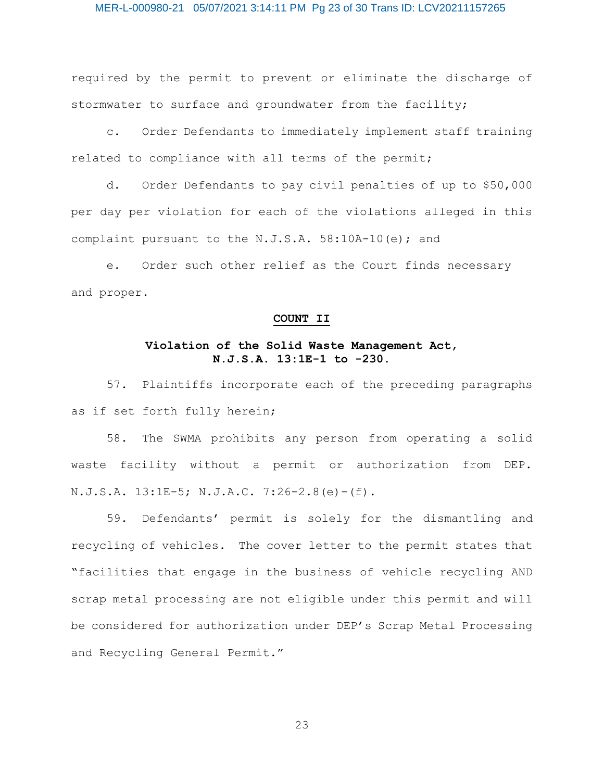#### MER-L-000980-21 05/07/2021 3:14:11 PM Pg 23 of 30 Trans ID: LCV20211157265

required by the permit to prevent or eliminate the discharge of stormwater to surface and groundwater from the facility;

c. Order Defendants to immediately implement staff training related to compliance with all terms of the permit;

d. Order Defendants to pay civil penalties of up to \$50,000 per day per violation for each of the violations alleged in this complaint pursuant to the N.J.S.A. 58:10A-10(e); and

e. Order such other relief as the Court finds necessary and proper.

# **COUNT II**

# **Violation of the Solid Waste Management Act, N.J.S.A. 13:1E-1 to -230.**

57. Plaintiffs incorporate each of the preceding paragraphs as if set forth fully herein;

58. The SWMA prohibits any person from operating a solid waste facility without a permit or authorization from DEP. N.J.S.A. 13:1E-5; N.J.A.C. 7:26-2.8(e)-(f).

59. Defendants' permit is solely for the dismantling and recycling of vehicles. The cover letter to the permit states that "facilities that engage in the business of vehicle recycling AND scrap metal processing are not eligible under this permit and will be considered for authorization under DEP's Scrap Metal Processing and Recycling General Permit."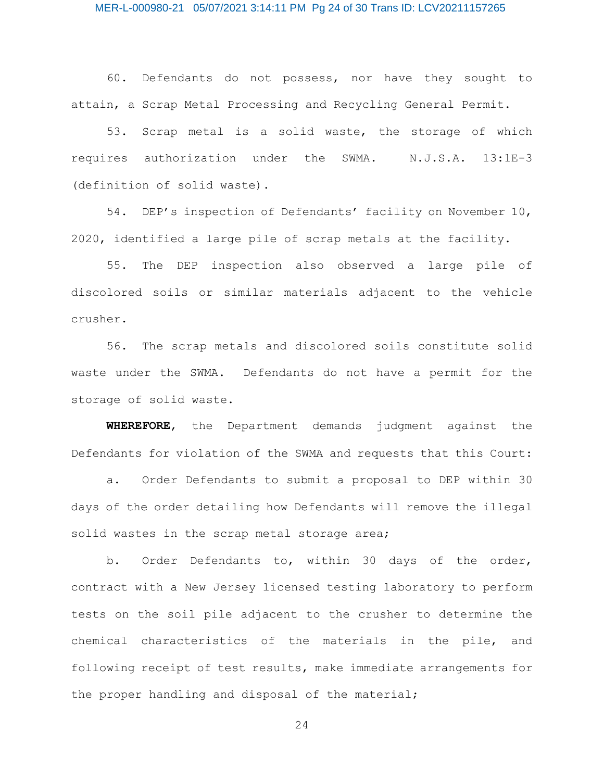60. Defendants do not possess, nor have they sought to attain, a Scrap Metal Processing and Recycling General Permit.

53. Scrap metal is a solid waste, the storage of which requires authorization under the SWMA. N.J.S.A. 13:1E-3 (definition of solid waste).

54. DEP's inspection of Defendants' facility on November 10, 2020, identified a large pile of scrap metals at the facility.

55. The DEP inspection also observed a large pile of discolored soils or similar materials adjacent to the vehicle crusher.

56. The scrap metals and discolored soils constitute solid waste under the SWMA. Defendants do not have a permit for the storage of solid waste.

**WHEREFORE**, the Department demands judgment against the Defendants for violation of the SWMA and requests that this Court:

a. Order Defendants to submit a proposal to DEP within 30 days of the order detailing how Defendants will remove the illegal solid wastes in the scrap metal storage area;

b. Order Defendants to, within 30 days of the order, contract with a New Jersey licensed testing laboratory to perform tests on the soil pile adjacent to the crusher to determine the chemical characteristics of the materials in the pile, and following receipt of test results, make immediate arrangements for the proper handling and disposal of the material;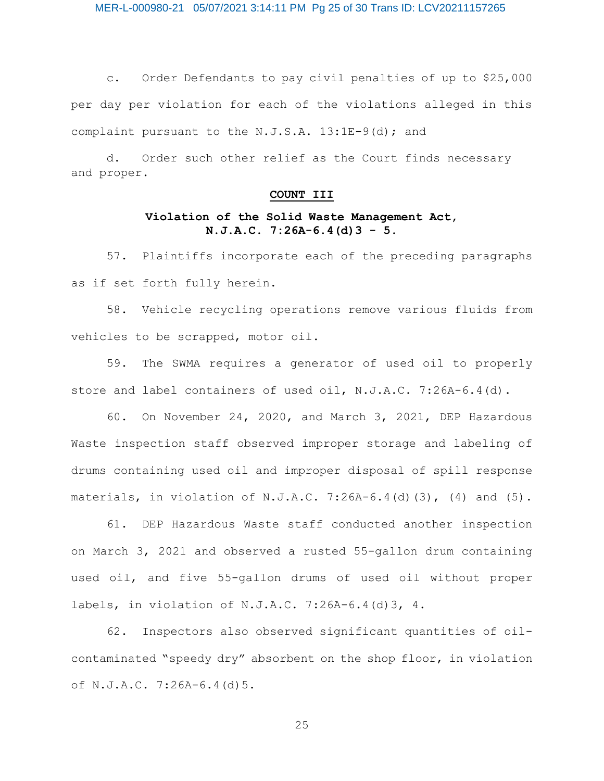MER-L-000980-21 05/07/2021 3:14:11 PM Pg 25 of 30 Trans ID: LCV20211157265

c. Order Defendants to pay civil penalties of up to \$25,000 per day per violation for each of the violations alleged in this complaint pursuant to the N.J.S.A. 13:1E-9(d); and

d. Order such other relief as the Court finds necessary and proper.

# **COUNT III**

# **Violation of the Solid Waste Management Act, N.J.A.C. 7:26A-6.4(d)3 - 5.**

57. Plaintiffs incorporate each of the preceding paragraphs as if set forth fully herein.

58. Vehicle recycling operations remove various fluids from vehicles to be scrapped, motor oil.

59. The SWMA requires a generator of used oil to properly store and label containers of used oil, N.J.A.C. 7:26A-6.4(d).

60. On November 24, 2020, and March 3, 2021, DEP Hazardous Waste inspection staff observed improper storage and labeling of drums containing used oil and improper disposal of spill response materials, in violation of N.J.A.C. 7:26A-6.4(d)(3), (4) and  $(5)$ .

61. DEP Hazardous Waste staff conducted another inspection on March 3, 2021 and observed a rusted 55-gallon drum containing used oil, and five 55-gallon drums of used oil without proper labels, in violation of N.J.A.C. 7:26A-6.4(d)3, 4.

62. Inspectors also observed significant quantities of oilcontaminated "speedy dry" absorbent on the shop floor, in violation of N.J.A.C. 7:26A-6.4(d)5.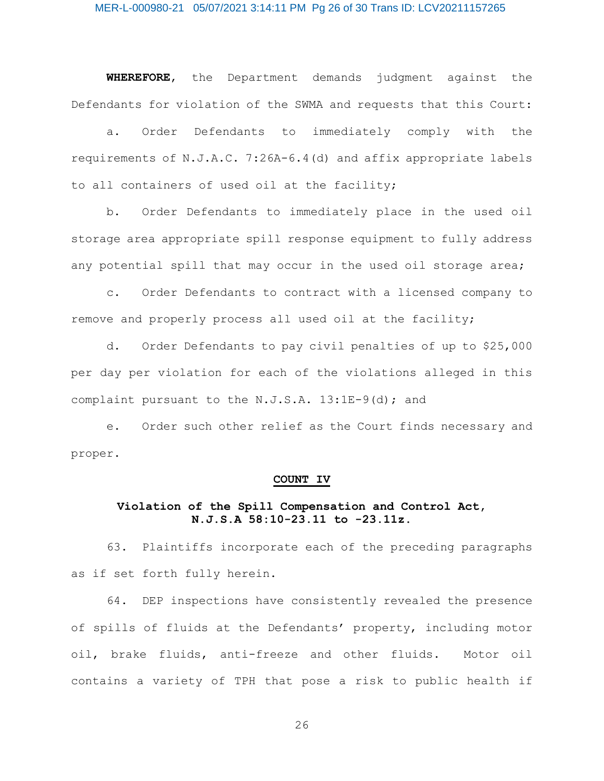#### MER-L-000980-21 05/07/2021 3:14:11 PM Pg 26 of 30 Trans ID: LCV20211157265

**WHEREFORE**, the Department demands judgment against the Defendants for violation of the SWMA and requests that this Court:

a. Order Defendants to immediately comply with the requirements of N.J.A.C. 7:26A-6.4(d) and affix appropriate labels to all containers of used oil at the facility;

b. Order Defendants to immediately place in the used oil storage area appropriate spill response equipment to fully address any potential spill that may occur in the used oil storage area;

c. Order Defendants to contract with a licensed company to remove and properly process all used oil at the facility;

d. Order Defendants to pay civil penalties of up to \$25,000 per day per violation for each of the violations alleged in this complaint pursuant to the N.J.S.A. 13:1E-9(d); and

e. Order such other relief as the Court finds necessary and proper.

#### **COUNT IV**

# **Violation of the Spill Compensation and Control Act, N.J.S.A 58:10-23.11 to -23.11z.**

63. Plaintiffs incorporate each of the preceding paragraphs as if set forth fully herein.

64. DEP inspections have consistently revealed the presence of spills of fluids at the Defendants' property, including motor oil, brake fluids, anti-freeze and other fluids. Motor oil contains a variety of TPH that pose a risk to public health if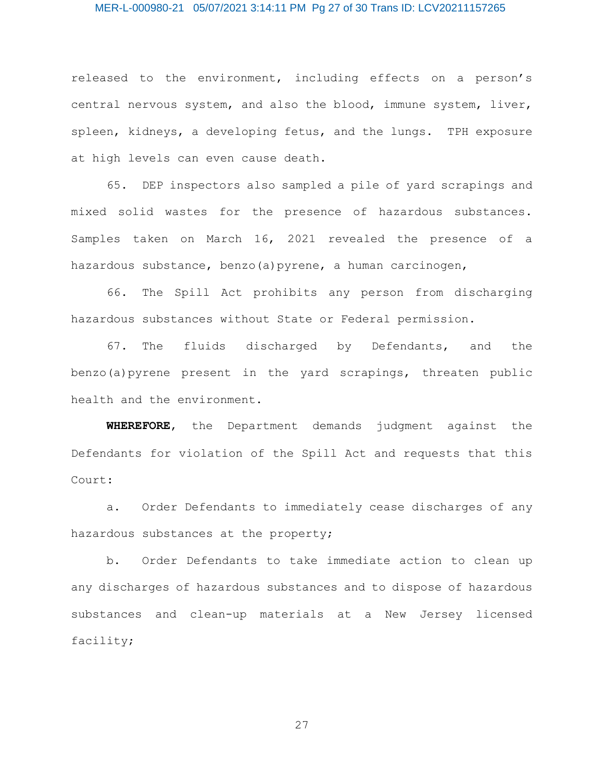#### MER-L-000980-21 05/07/2021 3:14:11 PM Pg 27 of 30 Trans ID: LCV20211157265

released to the environment, including effects on a person's central nervous system, and also the blood, immune system, liver, spleen, kidneys, a developing fetus, and the lungs. TPH exposure at high levels can even cause death.

65. DEP inspectors also sampled a pile of yard scrapings and mixed solid wastes for the presence of hazardous substances. Samples taken on March 16, 2021 revealed the presence of a hazardous substance, benzo(a)pyrene, a human carcinogen,

66. The Spill Act prohibits any person from discharging hazardous substances without State or Federal permission.

67. The fluids discharged by Defendants, and the benzo(a)pyrene present in the yard scrapings, threaten public health and the environment.

**WHEREFORE**, the Department demands judgment against the Defendants for violation of the Spill Act and requests that this Court:

a. Order Defendants to immediately cease discharges of any hazardous substances at the property;

b. Order Defendants to take immediate action to clean up any discharges of hazardous substances and to dispose of hazardous substances and clean-up materials at a New Jersey licensed facility;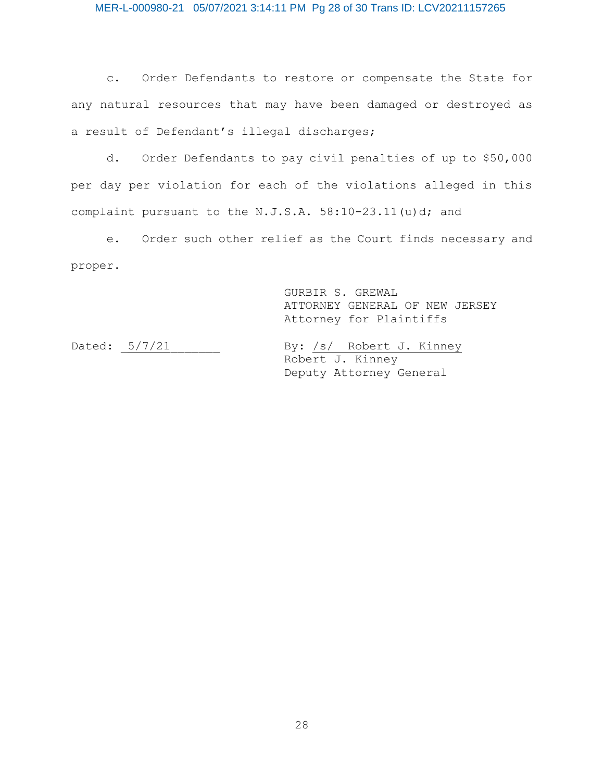c. Order Defendants to restore or compensate the State for any natural resources that may have been damaged or destroyed as a result of Defendant's illegal discharges;

d. Order Defendants to pay civil penalties of up to \$50,000 per day per violation for each of the violations alleged in this complaint pursuant to the N.J.S.A. 58:10-23.11(u)d; and

e. Order such other relief as the Court finds necessary and proper.

> GURBIR S. GREWAL ATTORNEY GENERAL OF NEW JERSEY Attorney for Plaintiffs

Dated:  $5/7/21$  By: /s/ Robert J. Kinney Robert J. Kinney Deputy Attorney General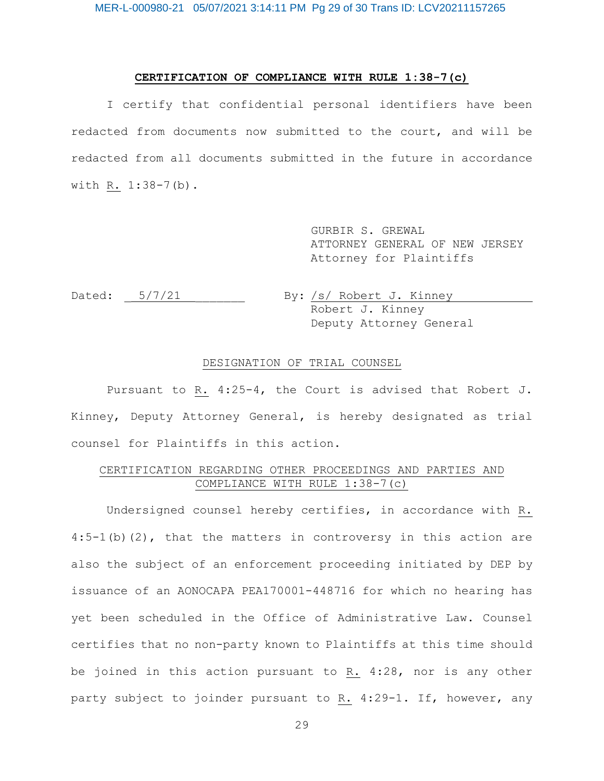# **CERTIFICATION OF COMPLIANCE WITH RULE 1:38-7(c)**

I certify that confidential personal identifiers have been redacted from documents now submitted to the court, and will be redacted from all documents submitted in the future in accordance with R. 1:38-7(b).

> GURBIR S. GREWAL ATTORNEY GENERAL OF NEW JERSEY Attorney for Plaintiffs

Dated:  $5/7/21$  By: /s/ Robert J. Kinney Robert J. Kinney Deputy Attorney General

# DESIGNATION OF TRIAL COUNSEL

Pursuant to R. 4:25-4, the Court is advised that Robert J. Kinney, Deputy Attorney General, is hereby designated as trial counsel for Plaintiffs in this action.

# CERTIFICATION REGARDING OTHER PROCEEDINGS AND PARTIES AND COMPLIANCE WITH RULE 1:38-7(c)

Undersigned counsel hereby certifies, in accordance with R.  $4:5-1$  (b) (2), that the matters in controversy in this action are also the subject of an enforcement proceeding initiated by DEP by issuance of an AONOCAPA PEA170001-448716 for which no hearing has yet been scheduled in the Office of Administrative Law. Counsel certifies that no non-party known to Plaintiffs at this time should be joined in this action pursuant to R. 4:28, nor is any other party subject to joinder pursuant to R. 4:29-1. If, however, any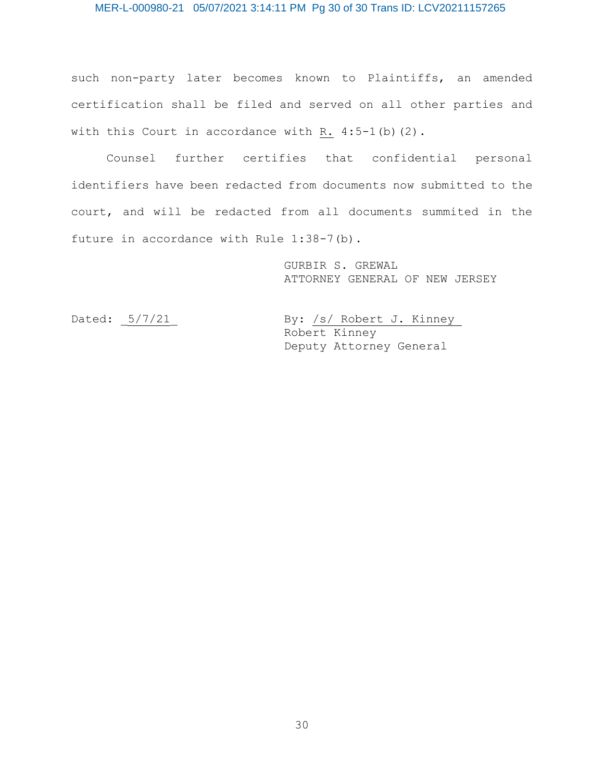# MER-L-000980-21 05/07/2021 3:14:11 PM Pg 30 of 30 Trans ID: LCV20211157265

such non-party later becomes known to Plaintiffs, an amended certification shall be filed and served on all other parties and with this Court in accordance with R.  $4:5-1$  (b) (2).

Counsel further certifies that confidential personal identifiers have been redacted from documents now submitted to the court, and will be redacted from all documents summited in the future in accordance with Rule 1:38-7(b).

> GURBIR S. GREWAL ATTORNEY GENERAL OF NEW JERSEY

Dated:  $5/7/21$  By: /s/ Robert J. Kinney Robert Kinney Deputy Attorney General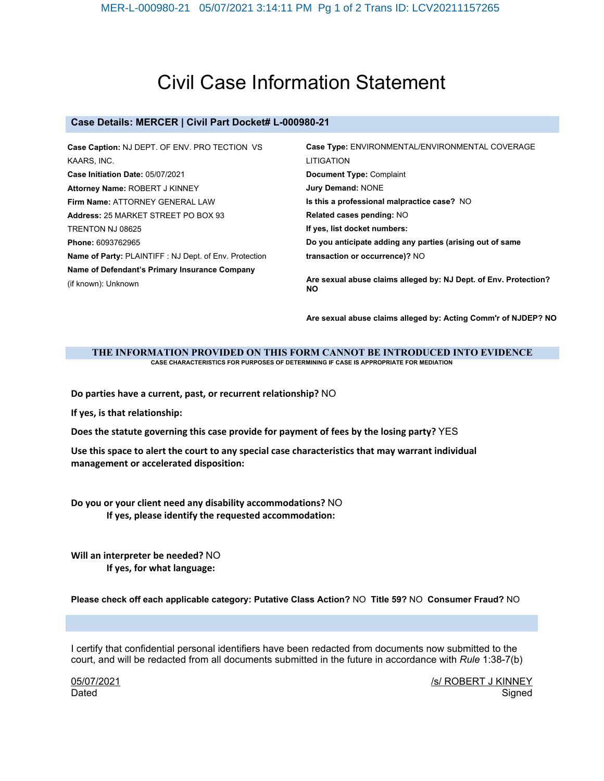# Civil Case Information Statement

# **Case Details: MERCER | Civil Part Docket# L-000980-21**

| Case Caption: NJ DEPT. OF ENV. PRO TECTION VS          | Case Type: ENVIRONMENTAL/ENVIRONMENTAL COVERAGE                               |  |
|--------------------------------------------------------|-------------------------------------------------------------------------------|--|
| KAARS, INC.                                            | LITIGATION                                                                    |  |
| Case Initiation Date: 05/07/2021                       | Document Type: Complaint                                                      |  |
| Attorney Name: ROBERT J KINNEY                         | <b>Jury Demand: NONE</b>                                                      |  |
| Firm Name: ATTORNEY GENERAL LAW                        | Is this a professional malpractice case? NO                                   |  |
| Address: 25 MARKET STREET PO BOX 93                    | Related cases pending: NO                                                     |  |
| TRENTON NJ 08625                                       | If yes, list docket numbers:                                                  |  |
| Phone: 6093762965                                      | Do you anticipate adding any parties (arising out of same                     |  |
| Name of Party: PLAINTIFF : NJ Dept. of Env. Protection | transaction or occurrence)? NO                                                |  |
| Name of Defendant's Primary Insurance Company          |                                                                               |  |
| (if known): Unknown                                    | Are sexual abuse claims alleged by: NJ Dept. of Env. Protection?<br><b>NO</b> |  |

**Are sexual abuse claims alleged by: Acting Comm'r of NJDEP? NO**

#### **THE INFORMATION PROVIDED ON THIS FORM CANNOT BE INTRODUCED INTO EVIDENCE CASE CHARACTERISTICS FOR PURPOSES OF DETERMINING IF CASE IS APPROPRIATE FOR MEDIATION**

**Do parties have a current, past, or recurrent relationship?** NO

**If yes, is that relationship:**

**Does the statute governing this case provide for payment of fees by the losing party?** YES

**Use this space to alert the court to any special case characteristics that may warrant individual management or accelerated disposition:**

**Do you or your client need any disability accommodations?** NO **If yes, please identify the requested accommodation:**

**Will an interpreter be needed?** NO **If yes, for what language:**

**Please check off each applicable category: Putative Class Action?** NO **Title 59?** NO **Consumer Fraud?** NO

I certify that confidential personal identifiers have been redacted from documents now submitted to the court, and will be redacted from all documents submitted in the future in accordance with *Rule* 1:38-7(b)

05/07/2021 Dated

/s/ ROBERT J KINNEY **Signed**